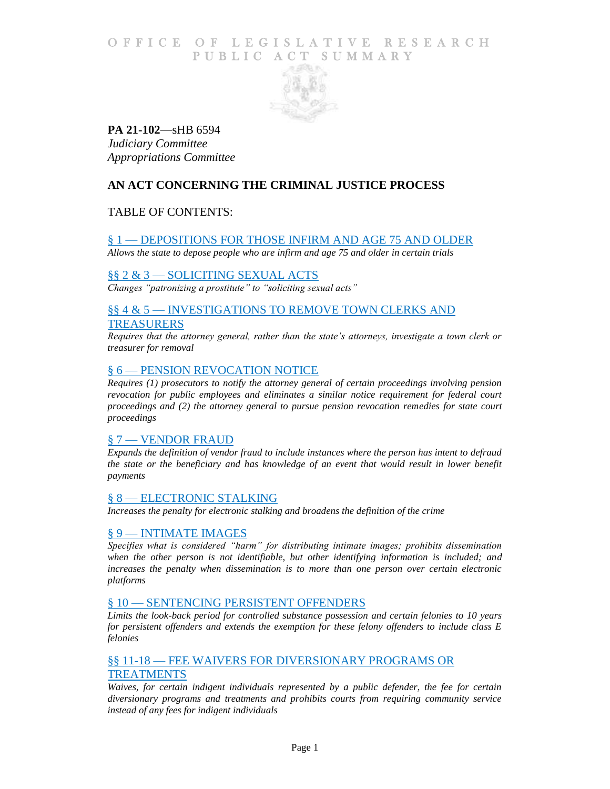## O F FICE OF LEGISLATIVE RESEARCH PUBLIC ACT SUMMARY



# **PA 21-102**—sHB 6594 *Judiciary Committee Appropriations Committee*

# **AN ACT CONCERNING THE CRIMINAL JUSTICE PROCESS**

# TABLE OF CONTENTS:

## § 1 — [DEPOSITIONS FOR THOSE INFIRM AND AGE 75 AND OLDER](#page-1-0)

*[Allows the state to depose people who are infirm and age 75 and older in certain trials](#page-1-1)*

## §§ 2 & 3 — [SOLICITING SEXUAL ACTS](#page-1-2)

*[Changes "patronizing a prostitute" to "soliciting sexual acts"](#page-1-3)*

# §§ 4 & 5 — [INVESTIGATIONS TO REMOVE TOWN CLERKS AND](#page-1-4) [TREASURERS](#page-1-4)

*[Requires that the attorney general, rather than the state's attorneys, investigate a town clerk or](#page-1-5)  [treasurer for removal](#page-1-5)*

## § 6 — [PENSION REVOCATION NOTICE](#page-2-0)

*Requires [\(1\) prosecutors to notify the attorney general of certain proceedings involving pension](#page-2-1)  [revocation for public employees and eliminates a similar notice requirement for federal court](#page-2-1)  [proceedings and \(2\) the attorney general to pursue pension revocation remedies for state court](#page-2-1)  [proceedings](#page-2-1)*

## § 7 — [VENDOR FRAUD](#page-2-2)

*[Expands the definition of vendor fraud to include instances where the person has intent to defraud](#page-2-3)  [the state or the beneficiary and has knowledge of an event that would result in lower benefit](#page-2-3)  [payments](#page-2-3)*

#### § 8 — [ELECTRONIC STALKING](#page-2-4)

*[Increases the penalty for electronic stalking and broadens the definition of the crime](#page-3-0)*

## § 9 — [INTIMATE IMAGES](#page-3-1)

*[Specifies what is considered "harm" for distributing intimate images; prohibits dissemination](#page-3-2)  [when the other person is not identifiable, but other identifying information is included; and](#page-3-2)*  increases the penalty when dissemination is to more than one person over certain electronic *[platforms](#page-3-2)*

## § 10 — [SENTENCING PERSISTENT OFFENDERS](#page-4-0)

*[Limits the look-back period for controlled substance possession and certain felonies to 10 years](#page-4-1)  [for persistent offenders and extends the exemption for these felony offenders to include class E](#page-4-1)  [felonies](#page-4-1)*

## §§ 11-18 — [FEE WAIVERS FOR DIVERSIONARY PROGRAMS OR](#page-5-0) [TREATMENTS](#page-5-0)

*[Waives, for certain indigent individuals represented by a public defender, the fee for certain](#page-5-1)  [diversionary programs and treatments and prohibits courts from requiring community service](#page-5-1)  [instead of any fees for indigent individuals](#page-5-1)*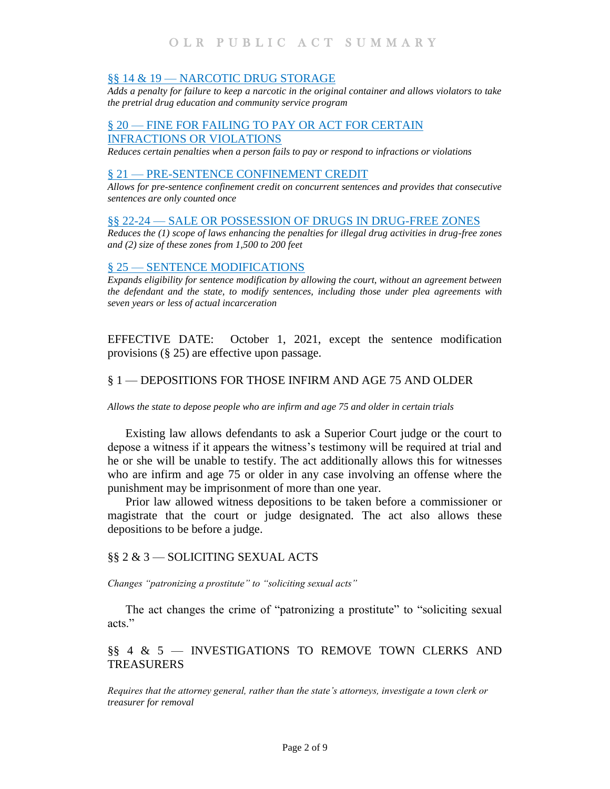## §§ 14 & 19 - [NARCOTIC DRUG STORAGE](#page-5-2)

*[Adds a penalty for failure to keep a narcotic in the original container and allows violators to take](#page-5-3)  [the pretrial drug education and community service program](#page-5-3)*

# § 20 — [FINE FOR FAILING TO PAY OR ACT FOR CERTAIN](#page-6-0)  [INFRACTIONS OR VIOLATIONS](#page-6-0)

*[Reduces certain penalties when a person fails to pay or respond to infractions or violations](#page-6-1)*

## § 21 — [PRE-SENTENCE CONFINEMENT](#page-6-2) CREDIT

*[Allows for pre-sentence confinement credit on concurrent sentences and provides that consecutive](#page-6-3)  [sentences are only counted once](#page-6-3)*

#### §§ 22-24 – [SALE OR POSSESSION OF DRUGS IN DRUG-FREE ZONES](#page-7-0)

*[Reduces the \(1\) scope of laws enhancing the penalties for illegal drug activities in drug-free zones](#page-7-1)  [and \(2\) size of these zones from 1,500 to 200 feet](#page-7-1)*

#### § 25 — [SENTENCE MODIFICATIONS](#page-8-0)

*[Expands eligibility for sentence modification by allowing the court, without an agreement between](#page-8-1)  [the defendant and the state, to modify sentences, including those under plea agreements with](#page-8-1)  [seven years or less of actual incarceration](#page-8-1)*

EFFECTIVE DATE: October 1, 2021, except the sentence modification provisions (§ 25) are effective upon passage.

## <span id="page-1-0"></span>§ 1 — DEPOSITIONS FOR THOSE INFIRM AND AGE 75 AND OLDER

<span id="page-1-1"></span>*Allows the state to depose people who are infirm and age 75 and older in certain trials* 

Existing law allows defendants to ask a Superior Court judge or the court to depose a witness if it appears the witness's testimony will be required at trial and he or she will be unable to testify. The act additionally allows this for witnesses who are infirm and age 75 or older in any case involving an offense where the punishment may be imprisonment of more than one year.

Prior law allowed witness depositions to be taken before a commissioner or magistrate that the court or judge designated. The act also allows these depositions to be before a judge.

## <span id="page-1-2"></span>§§ 2 & 3 — SOLICITING SEXUAL ACTS

<span id="page-1-3"></span>*Changes "patronizing a prostitute" to "soliciting sexual acts"*

The act changes the crime of "patronizing a prostitute" to "soliciting sexual acts."

# <span id="page-1-4"></span>§§ 4 & 5 — INVESTIGATIONS TO REMOVE TOWN CLERKS AND TREASURERS

<span id="page-1-5"></span>*Requires that the attorney general, rather than the state's attorneys, investigate a town clerk or treasurer for removal*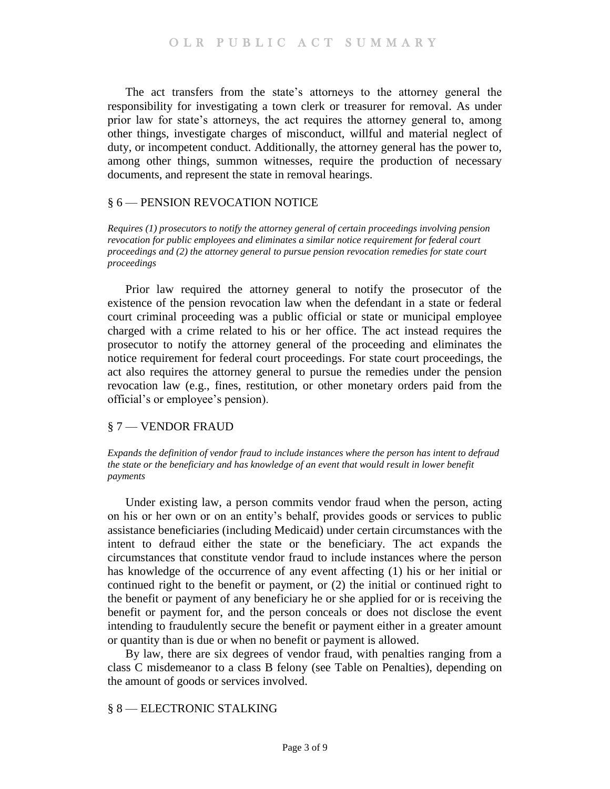The act transfers from the state's attorneys to the attorney general the responsibility for investigating a town clerk or treasurer for removal. As under prior law for state's attorneys, the act requires the attorney general to, among other things, investigate charges of misconduct, willful and material neglect of duty, or incompetent conduct. Additionally, the attorney general has the power to, among other things, summon witnesses, require the production of necessary documents, and represent the state in removal hearings.

## <span id="page-2-0"></span>§ 6 — PENSION REVOCATION NOTICE

<span id="page-2-1"></span>*Requires (1) prosecutors to notify the attorney general of certain proceedings involving pension revocation for public employees and eliminates a similar notice requirement for federal court proceedings and (2) the attorney general to pursue pension revocation remedies for state court proceedings* 

Prior law required the attorney general to notify the prosecutor of the existence of the pension revocation law when the defendant in a state or federal court criminal proceeding was a public official or state or municipal employee charged with a crime related to his or her office. The act instead requires the prosecutor to notify the attorney general of the proceeding and eliminates the notice requirement for federal court proceedings. For state court proceedings, the act also requires the attorney general to pursue the remedies under the pension revocation law (e.g., fines, restitution, or other monetary orders paid from the official's or employee's pension).

## <span id="page-2-2"></span>§ 7 — VENDOR FRAUD

<span id="page-2-3"></span>*Expands the definition of vendor fraud to include instances where the person has intent to defraud the state or the beneficiary and has knowledge of an event that would result in lower benefit payments* 

Under existing law, a person commits vendor fraud when the person, acting on his or her own or on an entity's behalf, provides goods or services to public assistance beneficiaries (including Medicaid) under certain circumstances with the intent to defraud either the state or the beneficiary. The act expands the circumstances that constitute vendor fraud to include instances where the person has knowledge of the occurrence of any event affecting (1) his or her initial or continued right to the benefit or payment, or (2) the initial or continued right to the benefit or payment of any beneficiary he or she applied for or is receiving the benefit or payment for, and the person conceals or does not disclose the event intending to fraudulently secure the benefit or payment either in a greater amount or quantity than is due or when no benefit or payment is allowed.

By law, there are six degrees of vendor fraud, with penalties ranging from a class C misdemeanor to a class B felony (see Table on Penalties), depending on the amount of goods or services involved.

## <span id="page-2-4"></span>§ 8 — ELECTRONIC STALKING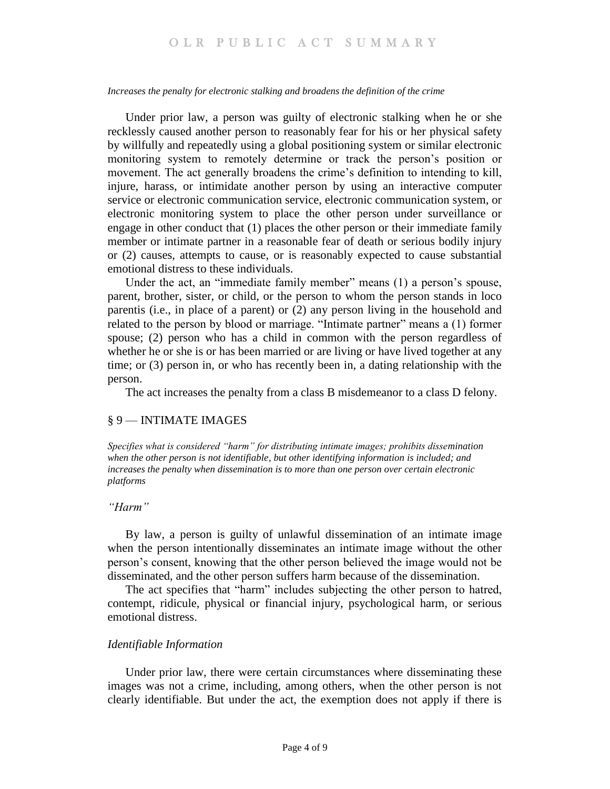#### <span id="page-3-0"></span>*Increases the penalty for electronic stalking and broadens the definition of the crime*

Under prior law, a person was guilty of electronic stalking when he or she recklessly caused another person to reasonably fear for his or her physical safety by willfully and repeatedly using a global positioning system or similar electronic monitoring system to remotely determine or track the person's position or movement. The act generally broadens the crime's definition to intending to kill, injure, harass, or intimidate another person by using an interactive computer service or electronic communication service, electronic communication system, or electronic monitoring system to place the other person under surveillance or engage in other conduct that (1) places the other person or their immediate family member or intimate partner in a reasonable fear of death or serious bodily injury or (2) causes, attempts to cause, or is reasonably expected to cause substantial emotional distress to these individuals.

Under the act, an "immediate family member" means (1) a person's spouse, parent, brother, sister, or child, or the person to whom the person stands in loco parentis (i.e., in place of a parent) or (2) any person living in the household and related to the person by blood or marriage. "Intimate partner" means a (1) former spouse; (2) person who has a child in common with the person regardless of whether he or she is or has been married or are living or have lived together at any time; or (3) person in, or who has recently been in, a dating relationship with the person.

The act increases the penalty from a class B misdemeanor to a class D felony.

#### <span id="page-3-1"></span>§ 9 — INTIMATE IMAGES

<span id="page-3-2"></span>*Specifies what is considered "harm" for distributing intimate images; prohibits dissemination when the other person is not identifiable, but other identifying information is included; and increases the penalty when dissemination is to more than one person over certain electronic platforms*

#### *"Harm"*

By law, a person is guilty of unlawful dissemination of an intimate image when the person intentionally disseminates an intimate image without the other person's consent, knowing that the other person believed the image would not be disseminated, and the other person suffers harm because of the dissemination.

The act specifies that "harm" includes subjecting the other person to hatred, contempt, ridicule, physical or financial injury, psychological harm, or serious emotional distress.

#### *Identifiable Information*

Under prior law, there were certain circumstances where disseminating these images was not a crime, including, among others, when the other person is not clearly identifiable. But under the act, the exemption does not apply if there is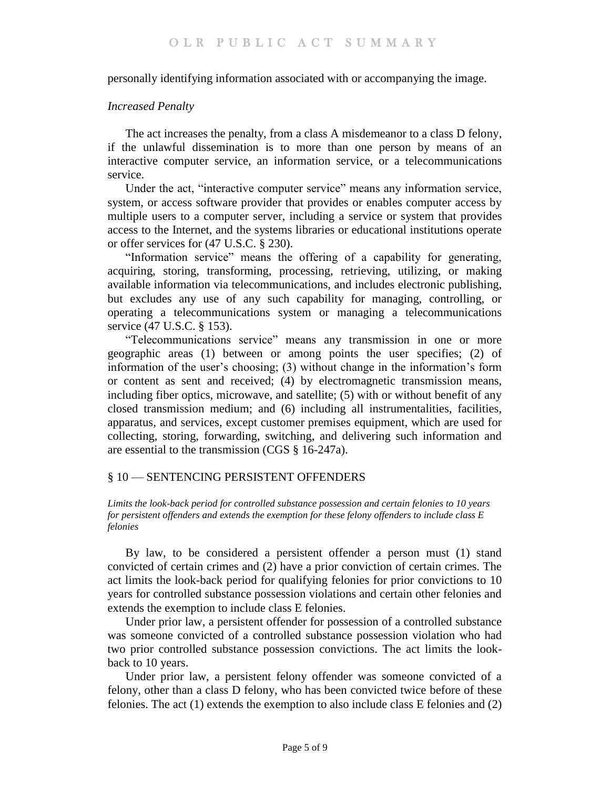personally identifying information associated with or accompanying the image.

## *Increased Penalty*

The act increases the penalty, from a class A misdemeanor to a class D felony, if the unlawful dissemination is to more than one person by means of an interactive computer service, an information service, or a telecommunications service.

Under the act, "interactive computer service" means any information service, system, or access software provider that provides or enables computer access by multiple users to a computer server, including a service or system that provides access to the Internet, and the systems libraries or educational institutions operate or offer services for (47 U.S.C. § 230).

"Information service" means the offering of a capability for generating, acquiring, storing, transforming, processing, retrieving, utilizing, or making available information via telecommunications, and includes electronic publishing, but excludes any use of any such capability for managing, controlling, or operating a telecommunications system or managing a telecommunications service (47 U.S.C. § 153).

"Telecommunications service" means any transmission in one or more geographic areas (1) between or among points the user specifies; (2) of information of the user's choosing; (3) without change in the information's form or content as sent and received; (4) by electromagnetic transmission means, including fiber optics, microwave, and satellite; (5) with or without benefit of any closed transmission medium; and (6) including all instrumentalities, facilities, apparatus, and services, except customer premises equipment, which are used for collecting, storing, forwarding, switching, and delivering such information and are essential to the transmission (CGS § 16-247a).

# <span id="page-4-0"></span>§ 10 — SENTENCING PERSISTENT OFFENDERS

<span id="page-4-1"></span>*Limits the look-back period for controlled substance possession and certain felonies to 10 years for persistent offenders and extends the exemption for these felony offenders to include class E felonies*

By law, to be considered a persistent offender a person must (1) stand convicted of certain crimes and (2) have a prior conviction of certain crimes. The act limits the look-back period for qualifying felonies for prior convictions to 10 years for controlled substance possession violations and certain other felonies and extends the exemption to include class E felonies.

Under prior law, a persistent offender for possession of a controlled substance was someone convicted of a controlled substance possession violation who had two prior controlled substance possession convictions. The act limits the lookback to 10 years.

Under prior law, a persistent felony offender was someone convicted of a felony, other than a class D felony, who has been convicted twice before of these felonies. The act (1) extends the exemption to also include class E felonies and (2)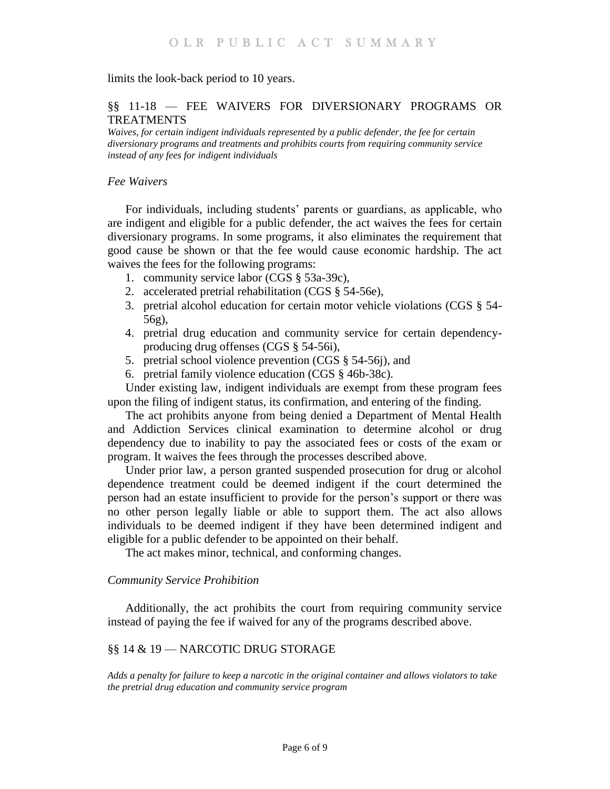limits the look-back period to 10 years.

## <span id="page-5-0"></span>§§ 11-18 — FEE WAIVERS FOR DIVERSIONARY PROGRAMS OR TREATMENTS

<span id="page-5-1"></span>*Waives, for certain indigent individuals represented by a public defender, the fee for certain diversionary programs and treatments and prohibits courts from requiring community service instead of any fees for indigent individuals*

#### *Fee Waivers*

For individuals, including students' parents or guardians, as applicable, who are indigent and eligible for a public defender, the act waives the fees for certain diversionary programs. In some programs, it also eliminates the requirement that good cause be shown or that the fee would cause economic hardship. The act waives the fees for the following programs:

- 1. community service labor (CGS § 53a-39c),
- 2. accelerated pretrial rehabilitation (CGS § 54-56e),
- 3. pretrial alcohol education for certain motor vehicle violations (CGS § 54- 56g),
- 4. pretrial drug education and community service for certain dependencyproducing drug offenses (CGS § 54-56i),
- 5. pretrial school violence prevention (CGS § 54-56j), and
- 6. pretrial family violence education (CGS § 46b-38c).

Under existing law, indigent individuals are exempt from these program fees upon the filing of indigent status, its confirmation, and entering of the finding.

The act prohibits anyone from being denied a Department of Mental Health and Addiction Services clinical examination to determine alcohol or drug dependency due to inability to pay the associated fees or costs of the exam or program. It waives the fees through the processes described above.

Under prior law, a person granted suspended prosecution for drug or alcohol dependence treatment could be deemed indigent if the court determined the person had an estate insufficient to provide for the person's support or there was no other person legally liable or able to support them. The act also allows individuals to be deemed indigent if they have been determined indigent and eligible for a public defender to be appointed on their behalf.

The act makes minor, technical, and conforming changes.

#### *Community Service Prohibition*

Additionally, the act prohibits the court from requiring community service instead of paying the fee if waived for any of the programs described above.

## <span id="page-5-2"></span>§§ 14 & 19 — NARCOTIC DRUG STORAGE

<span id="page-5-3"></span>*Adds a penalty for failure to keep a narcotic in the original container and allows violators to take the pretrial drug education and community service program*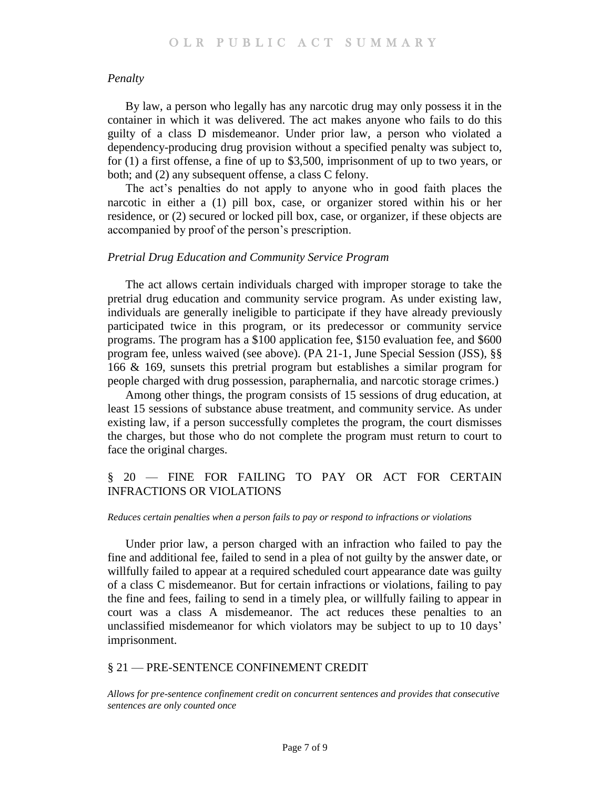#### *Penalty*

By law, a person who legally has any narcotic drug may only possess it in the container in which it was delivered. The act makes anyone who fails to do this guilty of a class D misdemeanor. Under prior law, a person who violated a dependency-producing drug provision without a specified penalty was subject to, for (1) a first offense, a fine of up to \$3,500, imprisonment of up to two years, or both; and (2) any subsequent offense, a class C felony.

The act's penalties do not apply to anyone who in good faith places the narcotic in either a (1) pill box, case, or organizer stored within his or her residence, or (2) secured or locked pill box, case, or organizer, if these objects are accompanied by proof of the person's prescription.

#### *Pretrial Drug Education and Community Service Program*

The act allows certain individuals charged with improper storage to take the pretrial drug education and community service program. As under existing law, individuals are generally ineligible to participate if they have already previously participated twice in this program, or its predecessor or community service programs. The program has a \$100 application fee, \$150 evaluation fee, and \$600 program fee, unless waived (see above). (PA 21-1, June Special Session (JSS), §§ 166 & 169, sunsets this pretrial program but establishes a similar program for people charged with drug possession, paraphernalia, and narcotic storage crimes.)

Among other things, the program consists of 15 sessions of drug education, at least 15 sessions of substance abuse treatment, and community service. As under existing law, if a person successfully completes the program, the court dismisses the charges, but those who do not complete the program must return to court to face the original charges.

# <span id="page-6-0"></span>§ 20 — FINE FOR FAILING TO PAY OR ACT FOR CERTAIN INFRACTIONS OR VIOLATIONS

#### <span id="page-6-1"></span>*Reduces certain penalties when a person fails to pay or respond to infractions or violations*

Under prior law, a person charged with an infraction who failed to pay the fine and additional fee, failed to send in a plea of not guilty by the answer date, or willfully failed to appear at a required scheduled court appearance date was guilty of a class C misdemeanor. But for certain infractions or violations, failing to pay the fine and fees, failing to send in a timely plea, or willfully failing to appear in court was a class A misdemeanor. The act reduces these penalties to an unclassified misdemeanor for which violators may be subject to up to 10 days' imprisonment.

#### <span id="page-6-2"></span>§ 21 — PRE-SENTENCE CONFINEMENT CREDIT

<span id="page-6-3"></span>*Allows for pre-sentence confinement credit on concurrent sentences and provides that consecutive sentences are only counted once*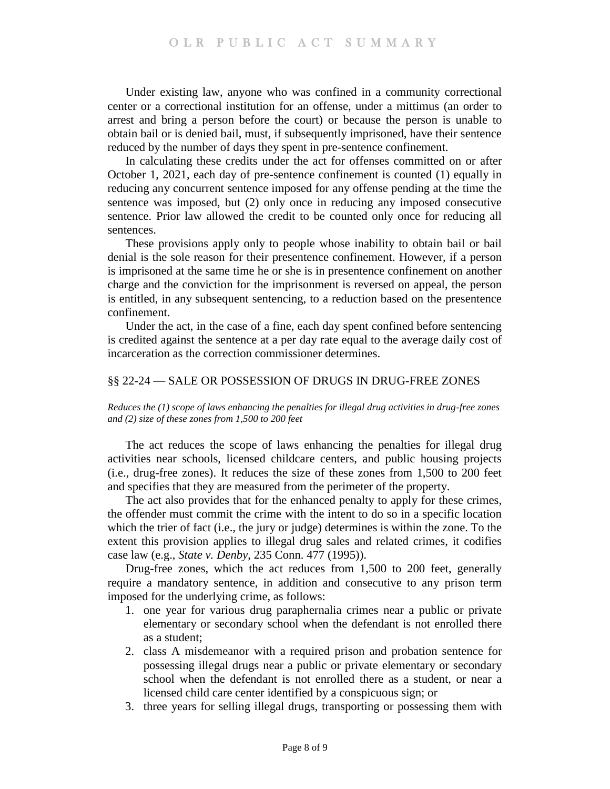Under existing law, anyone who was confined in a community correctional center or a correctional institution for an offense, under a mittimus (an order to arrest and bring a person before the court) or because the person is unable to obtain bail or is denied bail, must, if subsequently imprisoned, have their sentence reduced by the number of days they spent in pre-sentence confinement.

In calculating these credits under the act for offenses committed on or after October 1, 2021, each day of pre-sentence confinement is counted (1) equally in reducing any concurrent sentence imposed for any offense pending at the time the sentence was imposed, but (2) only once in reducing any imposed consecutive sentence. Prior law allowed the credit to be counted only once for reducing all sentences.

These provisions apply only to people whose inability to obtain bail or bail denial is the sole reason for their presentence confinement. However, if a person is imprisoned at the same time he or she is in presentence confinement on another charge and the conviction for the imprisonment is reversed on appeal, the person is entitled, in any subsequent sentencing, to a reduction based on the presentence confinement.

Under the act, in the case of a fine, each day spent confined before sentencing is credited against the sentence at a per day rate equal to the average daily cost of incarceration as the correction commissioner determines.

## <span id="page-7-0"></span>§§ 22-24 — SALE OR POSSESSION OF DRUGS IN DRUG-FREE ZONES

<span id="page-7-1"></span>*Reduces the (1) scope of laws enhancing the penalties for illegal drug activities in drug-free zones and (2) size of these zones from 1,500 to 200 feet* 

The act reduces the scope of laws enhancing the penalties for illegal drug activities near schools, licensed childcare centers, and public housing projects (i.e., drug-free zones). It reduces the size of these zones from 1,500 to 200 feet and specifies that they are measured from the perimeter of the property.

The act also provides that for the enhanced penalty to apply for these crimes, the offender must commit the crime with the intent to do so in a specific location which the trier of fact (i.e., the jury or judge) determines is within the zone. To the extent this provision applies to illegal drug sales and related crimes, it codifies case law (e.g., *State v. Denby*, 235 Conn. 477 (1995)).

Drug-free zones, which the act reduces from 1,500 to 200 feet, generally require a mandatory sentence, in addition and consecutive to any prison term imposed for the underlying crime, as follows:

- 1. one year for various drug paraphernalia crimes near a public or private elementary or secondary school when the defendant is not enrolled there as a student;
- 2. class A misdemeanor with a required prison and probation sentence for possessing illegal drugs near a public or private elementary or secondary school when the defendant is not enrolled there as a student, or near a licensed child care center identified by a conspicuous sign; or
- 3. three years for selling illegal drugs, transporting or possessing them with